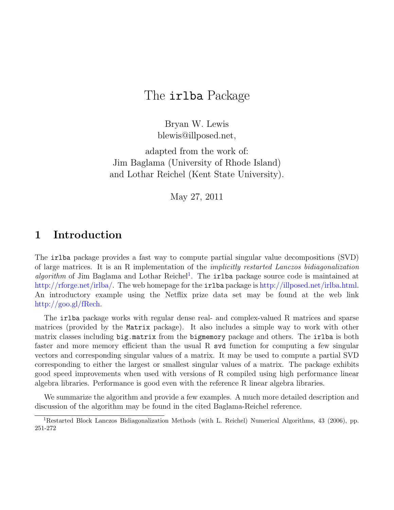# The irlba Package

Bryan W. Lewis blewis@illposed.net,

adapted from the work of: Jim Baglama (University of Rhode Island) and Lothar Reichel (Kent State University).

May 27, 2011

## 1 Introduction

The irlba package provides a fast way to compute partial singular value decompositions (SVD) of large matrices. It is an R implementation of the implicitly restarted Lanczos bidiagonalization algorithm of Jim Baglama and Lothar Reichel<sup>[1](#page-0-0)</sup>. The irlba package source code is maintained at [http://rforge.net/irlba/.](http://rforge.net/irlba/) The web homepage for the irlba package is [http://illposed.net/irlba.html.](http://illposed.net/irlba.html) An introductory example using the Netflix prize data set may be found at the web link [http://goo.gl/fRech.](http://goo.gl/fRech)

The irlba package works with regular dense real- and complex-valued R matrices and sparse matrices (provided by the Matrix package). It also includes a simple way to work with other matrix classes including big.matrix from the bigmemory package and others. The irlba is both faster and more memory efficient than the usual R svd function for computing a few singular vectors and corresponding singular values of a matrix. It may be used to compute a partial SVD corresponding to either the largest or smallest singular values of a matrix. The package exhibits good speed improvements when used with versions of R compiled using high performance linear algebra libraries. Performance is good even with the reference R linear algebra libraries.

We summarize the algorithm and provide a few examples. A much more detailed description and discussion of the algorithm may be found in the cited Baglama-Reichel reference.

<span id="page-0-0"></span><sup>1</sup>Restarted Block Lanczos Bidiagonalization Methods (with L. Reichel) Numerical Algorithms, 43 (2006), pp. 251-272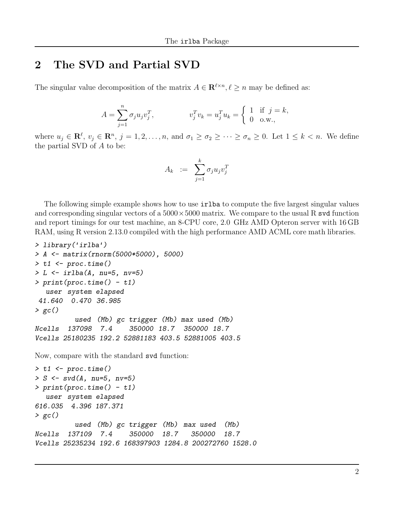## 2 The SVD and Partial SVD

The singular value decomposition of the matrix  $A \in \mathbb{R}^{\ell \times n}, \ell \geq n$  may be defined as:

$$
A = \sum_{j=1}^{n} \sigma_j u_j v_j^T, \qquad v_j^T v_k = u_j^T u_k = \begin{cases} 1 & \text{if } j = k, \\ 0 & \text{o.w.,} \end{cases}
$$

where  $u_j \in \mathbf{R}^{\ell}$ ,  $v_j \in \mathbf{R}^n$ ,  $j = 1, 2, ..., n$ , and  $\sigma_1 \ge \sigma_2 \ge \cdots \ge \sigma_n \ge 0$ . Let  $1 \le k < n$ . We define the partial SVD of A to be:

$$
A_k \quad := \quad \sum_{j=1}^k \sigma_j u_j v_j^T
$$

The following simple example shows how to use irlba to compute the five largest singular values and corresponding singular vectors of a  $5000 \times 5000$  matrix. We compare to the usual R svd function and report timings for our test machine, an 8-CPU core, 2.0 GHz AMD Opteron server with 16 GB RAM, using R version 2.13.0 compiled with the high performance AMD ACML core math libraries.

```
> library('irlba')
> A <- matrix(rnorm(5000*5000), 5000)
> t1 < - proc.time()
> L <- irlba(A, nu=5, nv=5)
> print(proc.time() - t1)user system elapsed
41.640 0.470 36.985
> gc()
          used (Mb) gc trigger (Mb) max used (Mb)
Ncells 137098 7.4 350000 18.7 350000 18.7
Vcells 25180235 192.2 52881183 403.5 52881005 403.5
```
Now, compare with the standard svd function:

```
> t1 \leftarrow proc.time()> S \leq svd(A, nu=5, nv=5)> print(proc.time() - t1)user system elapsed
616.035 4.396 187.371
> gc()
          used (Mb) gc trigger (Mb) max used (Mb)
Ncells 137109 7.4 350000 18.7 350000 18.7
Vcells 25235234 192.6 168397903 1284.8 200272760 1528.0
```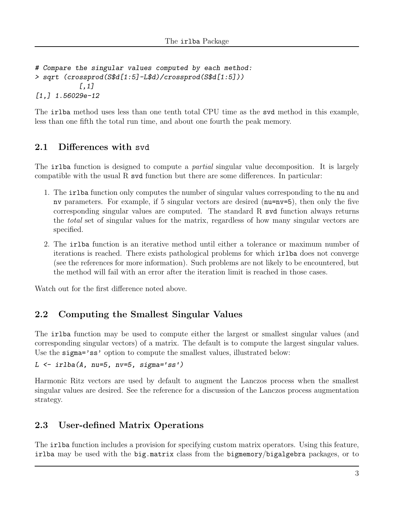```
# Compare the singular values computed by each method:
> sqrt (crossprod(S$d[1:5]-L$d)/crossprod(S$d[1:5]))
           [,1]
[1,] 1.56029e-12
```
The irlba method uses less than one tenth total CPU time as the svd method in this example, less than one fifth the total run time, and about one fourth the peak memory.

### 2.1 Differences with svd

The **irlba** function is designed to compute a *partial* singular value decomposition. It is largely compatible with the usual R svd function but there are some differences. In particular:

- 1. The irlba function only computes the number of singular values corresponding to the nu and nv parameters. For example, if 5 singular vectors are desired (nu=nv=5), then only the five corresponding singular values are computed. The standard R svd function always returns the total set of singular values for the matrix, regardless of how many singular vectors are specified.
- 2. The irlba function is an iterative method until either a tolerance or maximum number of iterations is reached. There exists pathological problems for which irlba does not converge (see the references for more information). Such problems are not likely to be encountered, but the method will fail with an error after the iteration limit is reached in those cases.

Watch out for the first difference noted above.

### 2.2 Computing the Smallest Singular Values

The irlba function may be used to compute either the largest or smallest singular values (and corresponding singular vectors) of a matrix. The default is to compute the largest singular values. Use the sigma='ss' option to compute the smallest values, illustrated below:

```
L \leftarrow irlba(A, nu=5, nv=5, sigma='ss')
```
Harmonic Ritz vectors are used by default to augment the Lanczos process when the smallest singular values are desired. See the reference for a discussion of the Lanczos process augmentation strategy.

#### 2.3 User-defined Matrix Operations

The irlba function includes a provision for specifying custom matrix operators. Using this feature, irlba may be used with the big.matrix class from the bigmemory/bigalgebra packages, or to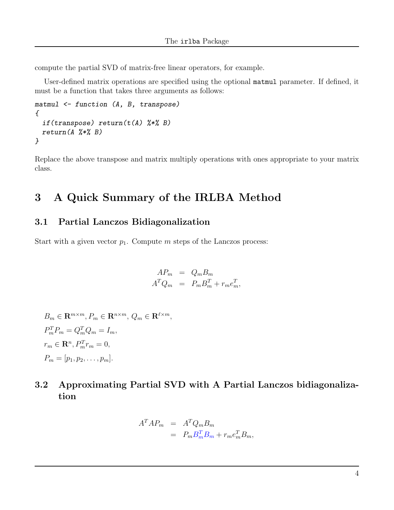compute the partial SVD of matrix-free linear operators, for example.

User-defined matrix operations are specified using the optional matmul parameter. If defined, it must be a function that takes three arguments as follows:

```
matmul <- function (A, B, transpose)
{
  if(transpose) return(t(A) %*% B)
  return(A \ \n% * \ X B)}
```
Replace the above transpose and matrix multiply operations with ones appropriate to your matrix class.

# 3 A Quick Summary of the IRLBA Method

#### 3.1 Partial Lanczos Bidiagonalization

Start with a given vector  $p_1$ . Compute m steps of the Lanczos process:

$$
AP_m = Q_m B_m
$$
  

$$
A^T Q_m = P_m B_m^T + r_m e_m^T,
$$

 $B_m \in \mathbf{R}^{m \times m}, P_m \in \mathbf{R}^{n \times m}, Q_m \in \mathbf{R}^{\ell \times m},$  $P_m^T P_m = Q_m^T Q_m = I_m,$  $r_m \in \mathbf{R}^n$ ,  $P_m^T r_m = 0$ ,  $P_m = [p_1, p_2, \ldots, p_m].$ 

### 3.2 Approximating Partial SVD with A Partial Lanczos bidiagonalization

$$
A^T A P_m = A^T Q_m B_m
$$
  
=  $P_m B_m^T B_m + r_m e_m^T B_m$ ,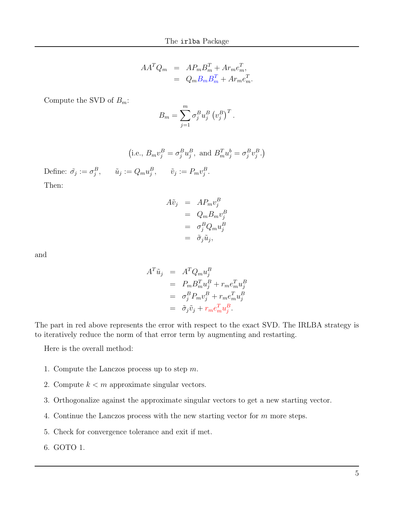$$
AA^T Q_m = AP_m B_m^T + Ar_m e_m^T,
$$
  
= 
$$
Q_m B_m B_m^T + Ar_m e_m^T.
$$

Compute the SVD of  $B_m$ :

$$
B_m = \sum_{j=1}^m \sigma_j^B u_j^B \left(v_j^B\right)^T.
$$

(i.e., 
$$
B_m v_j^B = \sigma_j^B u_j^B
$$
, and  $B_m^T u_j^b = \sigma_j^B v_j^B$ .)

Define:  $\tilde{\sigma}_j := \sigma_j^B$ ,  $\tilde{u}_j := Q_m u_j^B$ ,  $\tilde{v}_j := P_m v_j^B$ . Then:

$$
A\tilde{v}_j = AP_m v_j^B
$$
  
=  $Q_m B_m v_j^B$   
=  $\sigma_j^B Q_m u_j^B$   
=  $\tilde{\sigma}_j \tilde{u}_j$ ,

and

$$
A^T \tilde{u}_j = A^T Q_m u_j^B
$$
  
=  $P_m B_m^T u_j^B + r_m e_m^T u_j^B$   
=  $\sigma_j^B P_m v_j^B + r_m e_m^T u_j^B$   
=  $\tilde{\sigma}_j \tilde{v}_j + r_m e_m^T u_j^B$ .

The part in red above represents the error with respect to the exact SVD. The IRLBA strategy is to iteratively reduce the norm of that error term by augmenting and restarting.

Here is the overall method:

- 1. Compute the Lanczos process up to step m.
- 2. Compute  $k < m$  approximate singular vectors.
- 3. Orthogonalize against the approximate singular vectors to get a new starting vector.
- 4. Continue the Lanczos process with the new starting vector for m more steps.
- 5. Check for convergence tolerance and exit if met.
- 6. GOTO 1.